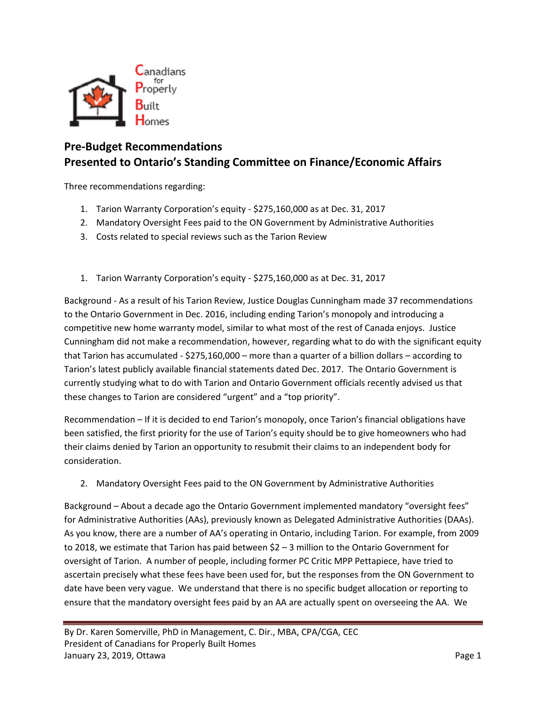

## **Pre-Budget Recommendations Presented to Ontario's Standing Committee on Finance/Economic Affairs**

Three recommendations regarding:

- 1. Tarion Warranty Corporation's equity \$275,160,000 as at Dec. 31, 2017
- 2. Mandatory Oversight Fees paid to the ON Government by Administrative Authorities
- 3. Costs related to special reviews such as the Tarion Review
- 1. Tarion Warranty Corporation's equity \$275,160,000 as at Dec. 31, 2017

Background - As a result of his Tarion Review, Justice Douglas Cunningham made 37 recommendations to the Ontario Government in Dec. 2016, including ending Tarion's monopoly and introducing a competitive new home warranty model, similar to what most of the rest of Canada enjoys. Justice Cunningham did not make a recommendation, however, regarding what to do with the significant equity that Tarion has accumulated - \$275,160,000 – more than a quarter of a billion dollars – according to Tarion's latest publicly available financial statements dated Dec. 2017. The Ontario Government is currently studying what to do with Tarion and Ontario Government officials recently advised us that these changes to Tarion are considered "urgent" and a "top priority".

Recommendation – If it is decided to end Tarion's monopoly, once Tarion's financial obligations have been satisfied, the first priority for the use of Tarion's equity should be to give homeowners who had their claims denied by Tarion an opportunity to resubmit their claims to an independent body for consideration.

2. Mandatory Oversight Fees paid to the ON Government by Administrative Authorities

Background – About a decade ago the Ontario Government implemented mandatory "oversight fees" for Administrative Authorities (AAs), previously known as Delegated Administrative Authorities (DAAs). As you know, there are a number of AA's operating in Ontario, including Tarion. For example, from 2009 to 2018, we estimate that Tarion has paid between \$2 – 3 million to the Ontario Government for oversight of Tarion. A number of people, including former PC Critic MPP Pettapiece, have tried to ascertain precisely what these fees have been used for, but the responses from the ON Government to date have been very vague. We understand that there is no specific budget allocation or reporting to ensure that the mandatory oversight fees paid by an AA are actually spent on overseeing the AA. We